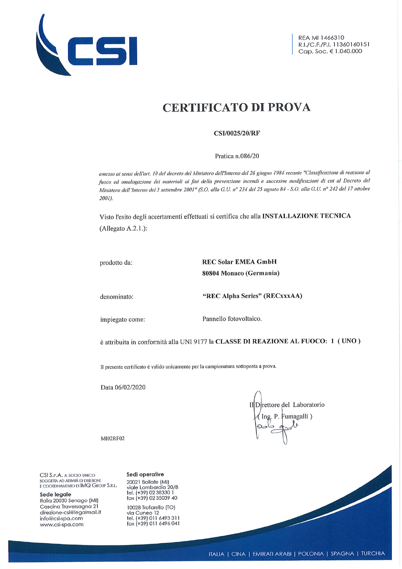

## **CERTIFICATO DI PROVA**

## **CSI/0025/20/RF**

Pratica n.086/20

emesso ai sensi dell'art. 10 del decreto del Ministero dell'Interno del 26 giugno 1984 recante "Classificazione di reazione al fuoco ed omologazione dei materiali ai fini della prevenzione incendi e succesive modificazioni di cui al Decreto del Ministero dell'Interno del 3 settembre 2001" (S.O. alla G.U. nº 234 del 25 agosto 84 - S.O. alla G.U. nº 242 del 17 ottobre 2001).

Visto l'esito degli accertamenti effettuati si certifica che alla INSTALLAZIONE TECNICA (Allegato A.2.1.):

prodotto da:

**REC Solar EMEA GmbH** 80804 Monaco (Germania)

denominato:

#### "REC Alpha Series" (RECxxxAA)

impiegato come:

Pannello fotovoltaico.

è attribuita in conformità alla UNI 9177 la CLASSE DI REAZIONE AL FUOCO: 1 (UNO)

Il presente certificato è valido unicamente per la campionatura sottoposta a prova.

Data 06/02/2020

Il Direttore del Laboratorio Ing. P. Fumagalli)

MI02RF02

CSI S.P.A. A SOCIO UNICO SOGGETIA AD ATINITÀ DI DIREZIONE E COORDINAMENTO DI MQ GROUP S.R.L.

Sede legale

Italia 20030 Senago (MI) Cascina Traversagna 21 direzione-csi@legalmail.it info@csi-spa.com www.csi-spa.com

Sedi operative 20021 Bollate (MI) viale Lombardia 20/8<br>tel. (+39) 02 38330 1<br>fax (+39) 02 35039 40

10028 Trofarello (TO) via Cuneo 12<br>tel. (+39) 011 6493 311 fax (+39) 011 6496 041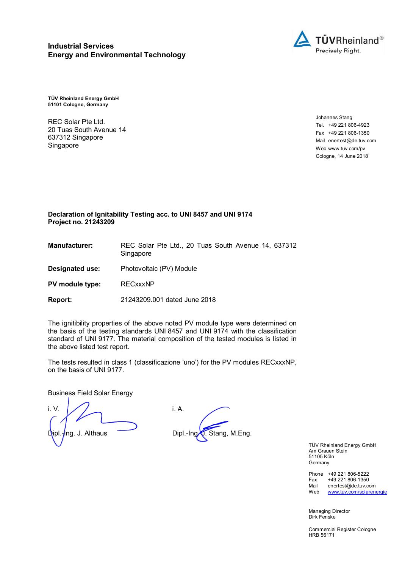

TÜV Rheinland Energy GmbH 51101 Cologne, Germany

REC Solar Pte Ltd. 20 Tuas South Avenue 14 637312 Singapore **Singapore** 

Johannes Stang Tel. +49 221 806-4923 Fax +49 221 806-1350 Mail enertest@de.tuv.com Web www.tuv.com/pv Cologne, 14 June 2018

## Declaration of Ignitability Testing acc. to UNI 8457 and UNI 9174 Project no. 21243209

| <b>Manufacturer:</b> |           |  |  |  | REC Solar Pte Ltd., 20 Tuas South Avenue 14, 637312 |  |
|----------------------|-----------|--|--|--|-----------------------------------------------------|--|
|                      | Singapore |  |  |  |                                                     |  |

- Designated use: Photovoltaic (PV) Module
- PV module type: RECxxxNP

Report: 21243209.001 dated June 2018

The ignitibility properties of the above noted PV module type were determined on the basis of the testing standards UNI 8457 and UNI 9174 with the classification standard of UNI 9177. The material composition of the tested modules is listed in the above listed test report.

The tests resulted in class 1 (classificazione 'uno') for the PV modules RECxxxNP, on the basis of UNI 9177.

Business Field Solar Energy

i. V.  $\angle$  /  $\angle$  i. A. Dipl.-Ing. J. Althaus Dipl.-Ing. Stang, M.Eng.

TÜV Rheinland Energy GmbH Am Grauen Stein 51105 Köln **Germany** 

Phone +49 221 806-5222 Fax +49 221 806-1350<br>Mail enertest@de.tuv.com Mail enertest@de.tuv.com<br>Web www.tuv.com/solarene www.tuv.com/solarenergie

Managing Director Dirk Fenske

Commercial Register Cologne HRB 56171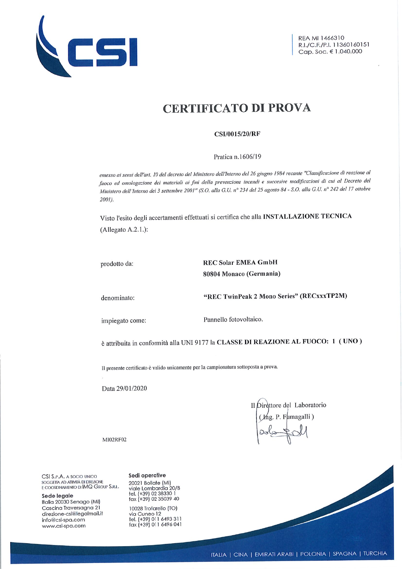

# **CERTIFICATO DI PROVA**

## **CSI/0015/20/RF**

Pratica n.1606/19

emesso ai sensi dell'art. 10 del decreto del Ministero dell'Interno del 26 giugno 1984 recante "Classificazione di reazione al fuoco ed omologazione dei materiali ai fini della prevenzione incendi e succesive modificazioni di cui al Decreto del Ministero dell'Interno del 3 settembre 2001" (S.O. alla G.U. nº 234 del 25 agosto 84 - S.O. alla G.U. nº 242 del 17 ottobre  $2001$ ).

Visto l'esito degli accertamenti effettuati si certifica che alla INSTALLAZIONE TECNICA  $(Allegato A.2.1.)$ :

prodotto da:

**REC Solar EMEA GmbH** 80804 Monaco (Germania)

denominato:

#### "REC TwinPeak 2 Mono Series" (RECxxxTP2M)

impiegato come:

Pannello fotovoltaico.

è attribuita in conformità alla UNI 9177 la CLASSE DI REAZIONE AL FUOCO: 1 (UNO)

Il presente certificato è valido unicamente per la campionatura sottoposta a prova.

Data 29/01/2020

Il Dirèttore del Laboratorio (Jng. P. Fumagalli)

MI02RF02

CSI S.P.A. A SOCIO UNICO SOGGETTA AD ATTIVITÀ DI DIREZIONE E COORDINAMENTO DI MQ GROUP S.R.L.

Sede legale Italia 20030 Senago (MI) Cascina Traversagna 21 direzione-csi@legalmail.it info@csi-spa.com www.csi-spa.com

Sedi operative 20021 Bollate (MI) viale Lombardia 20/8<br>tel. (+39) 02 38330 1<br>fax (+39) 02 35039 40 10028 Trofarello (TO)

via Cuneo 12<br>tel. (+39) 011 6493 311<br>fax (+39) 011 6496 041